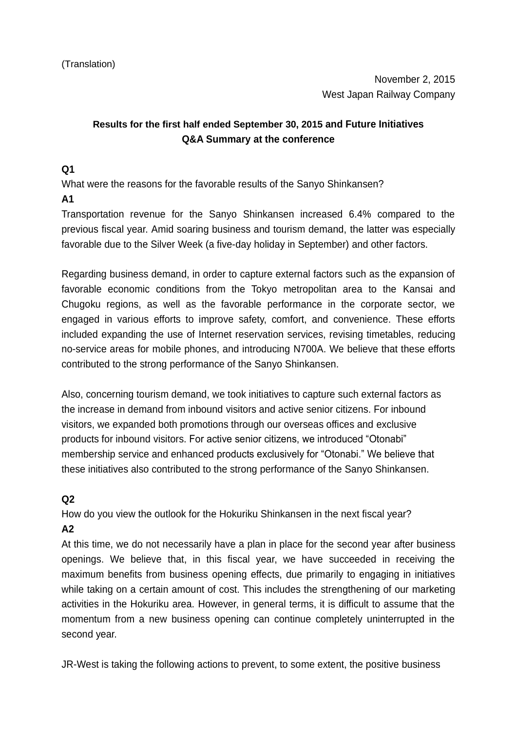# **Results for the first half ended September 30, 2015 and Future Initiatives Q&A Summary at the conference**

#### **Q1**

What were the reasons for the favorable results of the Sanyo Shinkansen?

#### **A1**

Transportation revenue for the Sanyo Shinkansen increased 6.4% compared to the previous fiscal year. Amid soaring business and tourism demand, the latter was especially favorable due to the Silver Week (a five-day holiday in September) and other factors.

Regarding business demand, in order to capture external factors such as the expansion of favorable economic conditions from the Tokyo metropolitan area to the Kansai and Chugoku regions, as well as the favorable performance in the corporate sector, we engaged in various efforts to improve safety, comfort, and convenience. These efforts included expanding the use of Internet reservation services, revising timetables, reducing no-service areas for mobile phones, and introducing N700A. We believe that these efforts contributed to the strong performance of the Sanyo Shinkansen.

Also, concerning tourism demand, we took initiatives to capture such external factors as the increase in demand from inbound visitors and active senior citizens. For inbound visitors, we expanded both promotions through our overseas offices and exclusive products for inbound visitors. For active senior citizens, we introduced "Otonabi" membership service and enhanced products exclusively for "Otonabi." We believe that these initiatives also contributed to the strong performance of the Sanyo Shinkansen.

## **Q2**

How do you view the outlook for the Hokuriku Shinkansen in the next fiscal year? **A2**

At this time, we do not necessarily have a plan in place for the second year after business openings. We believe that, in this fiscal year, we have succeeded in receiving the maximum benefits from business opening effects, due primarily to engaging in initiatives while taking on a certain amount of cost. This includes the strengthening of our marketing activities in the Hokuriku area. However, in general terms, it is difficult to assume that the momentum from a new business opening can continue completely uninterrupted in the second year.

JR-West is taking the following actions to prevent, to some extent, the positive business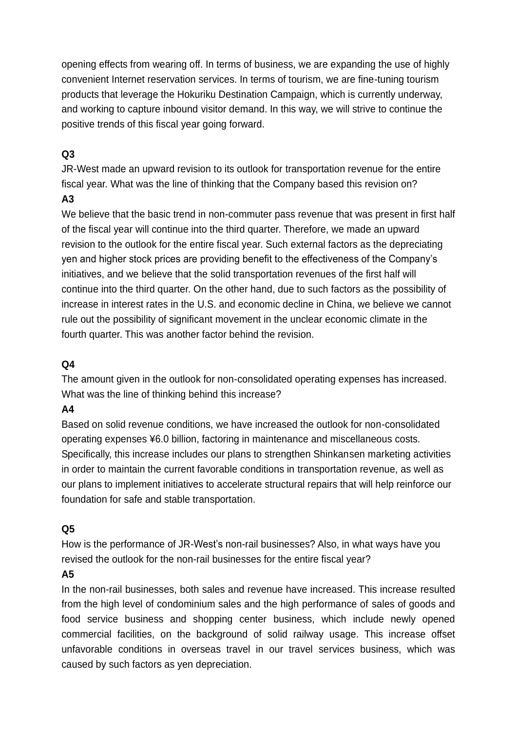opening effects from wearing off. In terms of business, we are expanding the use of highly convenient Internet reservation services. In terms of tourism, we are fine-tuning tourism products that leverage the Hokuriku Destination Campaign, which is currently underway, and working to capture inbound visitor demand. In this way, we will strive to continue the positive trends of this fiscal year going forward.

## **Q3**

JR-West made an upward revision to its outlook for transportation revenue for the entire fiscal year. What was the line of thinking that the Company based this revision on?

## **A3**

We believe that the basic trend in non-commuter pass revenue that was present in first half of the fiscal year will continue into the third quarter. Therefore, we made an upward revision to the outlook for the entire fiscal year. Such external factors as the depreciating yen and higher stock prices are providing benefit to the effectiveness of the Company's initiatives, and we believe that the solid transportation revenues of the first half will continue into the third quarter. On the other hand, due to such factors as the possibility of increase in interest rates in the U.S. and economic decline in China, we believe we cannot rule out the possibility of significant movement in the unclear economic climate in the fourth quarter. This was another factor behind the revision.

# **Q4**

The amount given in the outlook for non-consolidated operating expenses has increased. What was the line of thinking behind this increase?

## **A4**

Based on solid revenue conditions, we have increased the outlook for non-consolidated operating expenses ¥6.0 billion, factoring in maintenance and miscellaneous costs. Specifically, this increase includes our plans to strengthen Shinkansen marketing activities in order to maintain the current favorable conditions in transportation revenue, as well as our plans to implement initiatives to accelerate structural repairs that will help reinforce our foundation for safe and stable transportation.

## **Q5**

How is the performance of JR-West's non-rail businesses? Also, in what ways have you revised the outlook for the non-rail businesses for the entire fiscal year?

## **A5**

In the non-rail businesses, both sales and revenue have increased. This increase resulted from the high level of condominium sales and the high performance of sales of goods and food service business and shopping center business, which include newly opened commercial facilities, on the background of solid railway usage. This increase offset unfavorable conditions in overseas travel in our travel services business, which was caused by such factors as yen depreciation.